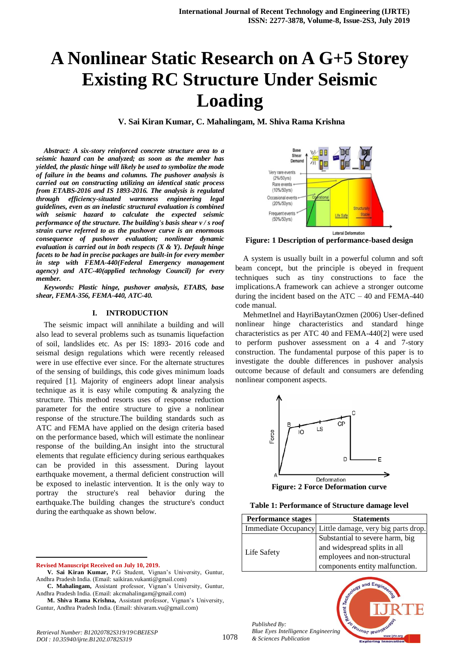# **A Nonlinear Static Research on A G+5 Storey Existing RC Structure Under Seismic Loading**

**V. Sai Kiran Kumar, C. Mahalingam, M. Shiva Rama Krishna**

*Abstract: A six-story reinforced concrete structure area to a seismic hazard can be analyzed; as soon as the member has yielded, the plastic hinge will likely be used to symbolize the mode of failure in the beams and columns. The pushover analysis is carried out on constructing utilizing an identical static process from ETABS-2016 and IS 1893-2016. The analysis is regulated through efficiency-situated warmness engineering legal guidelines, even as an inelastic structural evaluation is combined with seismic hazard to calculate the expected seismic performance of the structure. The building's basis shear v / s roof strain curve referred to as the pushover curve is an enormous consequence of pushover evaluation; nonlinear dynamic evaluation is carried out in both respects (X & Y). Default hinge facets to be had in precise packages are built-in for every member in step with FEMA-440(Federal Emergency management agency) and ATC-40(applied technology Council) for every member.*

*Keywords: Plastic hinge, pushover analysis, ETABS, base shear, FEMA-356, FEMA-440, ATC-40.*

#### **I. INTRODUCTION**

The seismic impact will annihilate a building and will also lead to several problems such as tsunamis liquefaction of soil, landslides etc. As per IS: 1893- 2016 code and seismal design regulations which were recently released were in use effective ever since. For the alternate structures of the sensing of buildings, this code gives minimum loads required [1]. Majority of engineers adopt linear analysis technique as it is easy while computing & analyzing the structure. This method resorts uses of response reduction parameter for the entire structure to give a nonlinear response of the structure.The building standards such as ATC and FEMA have applied on the design criteria based on the performance based, which will estimate the nonlinear response of the building.An insight into the structural elements that regulate efficiency during serious earthquakes can be provided in this assessment. During layout earthquake movement, a thermal deficient construction will be exposed to inelastic intervention. It is the only way to portray the structure's real behavior during the earthquake.The building changes the structure's conduct during the earthquake as shown below.

**Revised Manuscript Received on July 10, 2019.**

 $\overline{a}$ 



**Figure: 1 Description of performance-based design**

A system is usually built in a powerful column and soft beam concept, but the principle is obeyed in frequent techniques such as tiny constructions to face the implications.A framework can achieve a stronger outcome during the incident based on the  $ATC - 40$  and FEMA-440 code manual.

MehmetInel and HayriBaytanOzmen (2006) User-defined nonlinear hinge characteristics and standard hinge characteristics as per ATC 40 and FEMA-440[2] were used to perform pushover assessment on a 4 and 7-story construction. The fundamental purpose of this paper is to investigate the double differences in pushover analysis outcome because of default and consumers are defending nonlinear component aspects.



**Figure: 2 Force Deformation curve**

#### **Table 1: Performance of Structure damage level**

| <b>Performance stages</b> | <b>Statements</b>                                                                               |  |  |  |  |
|---------------------------|-------------------------------------------------------------------------------------------------|--|--|--|--|
|                           | Immediate Occupancy Little damage, very big parts drop.                                         |  |  |  |  |
| Life Safety               | Substantial to severe harm, big<br>and widespread splits in all<br>employees and non-structural |  |  |  |  |
|                           | components entity malfunction.                                                                  |  |  |  |  |



*Blue Eyes Intelligence Engineering & Sciences Publication* 

1078



and Eng

**V. Sai Kiran Kumar,** P.G Student, Vignan's University, Guntur, Andhra Pradesh India. (Email: saikiran.vukanti@gmail.com)

**C. Mahalingam,** Assistant professor, Vignan's University, Guntur, Andhra Pradesh India. (Email: akcmahalingam@gmail.com)

**M. Shiva Rama Krishna,** Assistant professor, Vignan's University, Guntur, Andhra Pradesh India. (Email: shivaram.vu@gmail.com)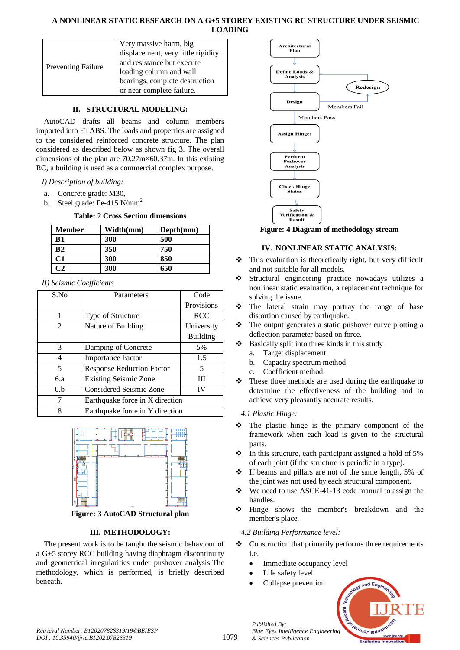#### **A NONLINEAR STATIC RESEARCH ON A G+5 STOREY EXISTING RC STRUCTURE UNDER SEISMIC LOADING**

|                           | Very massive harm, big             |
|---------------------------|------------------------------------|
| <b>Preventing Failure</b> | displacement, very little rigidity |
|                           | and resistance but execute         |
|                           | loading column and wall            |
|                           | bearings, complete destruction     |
|                           | or near complete failure.          |

# **II. STRUCTURAL MODELING:**

AutoCAD drafts all beams and column members imported into ETABS. The loads and properties are assigned to the considered reinforced concrete structure. The plan considered as described below as shown fig 3. The overall dimensions of the plan are 70.27m×60.37m. In this existing RC, a building is used as a commercial complex purpose.

*I) Description of building:*

- a. Concrete grade: M30,
- b. Steel grade: Fe-415 N/mm<sup>2</sup>

#### **Table: 2 Cross Section dimensions**

| <b>Member</b>  | Width(mm) | Depth(mm) |
|----------------|-----------|-----------|
| B1             | 300       | 500       |
| B <sub>2</sub> | 350       | 750       |
| C1             | 300       | 850       |
|                | 300       | 650       |

*II) Seismic Coefficients*

| S.No | Parameters                       | Code       |  |  |  |
|------|----------------------------------|------------|--|--|--|
|      |                                  | Provisions |  |  |  |
| 1    | Type of Structure                | <b>RCC</b> |  |  |  |
| 2    | Nature of Building               | University |  |  |  |
|      |                                  | Building   |  |  |  |
| 3    | Damping of Concrete              | 5%         |  |  |  |
| 4    | <b>Importance Factor</b>         | 1.5        |  |  |  |
| 5    | <b>Response Reduction Factor</b> | 5          |  |  |  |
| 6.a  | <b>Existing Seismic Zone</b>     | Ш          |  |  |  |
| 6.h  | <b>Considered Seismic Zone</b>   | IV         |  |  |  |
| 7    | Earthquake force in X direction  |            |  |  |  |
| 8    | Earthquake force in Y direction  |            |  |  |  |



**Figure: 3 AutoCAD Structural plan**

# **III. METHODOLOGY:**

The present work is to be taught the seismic behaviour of a G+5 storey RCC building having diaphragm discontinuity and geometrical irregularities under pushover analysis.The methodology, which is performed, is briefly described beneath.



**Figure: 4 Diagram of methodology stream**

#### **IV. NONLINEAR STATIC ANALYSIS:**

- $\triangle$  This evaluation is theoretically right, but very difficult and not suitable for all models.
- Structural engineering practice nowadays utilizes a nonlinear static evaluation, a replacement technique for solving the issue.
- The lateral strain may portray the range of base distortion caused by earthquake.
- \* The output generates a static pushover curve plotting a deflection parameter based on force.
- $\triangle$  Basically split into three kinds in this study
	- a. Target displacement
	- b. Capacity spectrum method
	- c. Coefficient method.
- $\cdot \cdot$  These three methods are used during the earthquake to determine the effectiveness of the building and to achieve very pleasantly accurate results.

*4.1 Plastic Hinge:*

- The plastic hinge is the primary component of the framework when each load is given to the structural parts.
- $\div$  In this structure, each participant assigned a hold of 5% of each joint (if the structure is periodic in a type).
- $\div$  If beams and pillars are not of the same length, 5% of the joint was not used by each structural component.
- $\bullet$  We need to use ASCE-41-13 code manual to assign the handles.
- Hinge shows the member's breakdown and the member's place.

# *4.2 Building Performance level:*

- Construction that primarily performs three requirements i.e.
	- Immediate occupancy level
	- Life safety level

*& Sciences Publication* 

*Published By:*

Collapse prevention

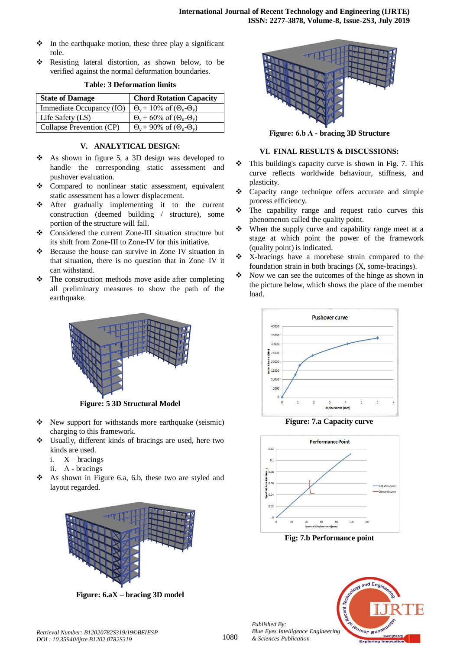- $\cdot \cdot$  In the earthquake motion, these three play a significant role.
- \* Resisting lateral distortion, as shown below, to be verified against the normal deformation boundaries.

| <b>State of Damage</b>   | <b>Chord Rotation Capacity</b>                        |
|--------------------------|-------------------------------------------------------|
| Immediate Occupancy (IO) | $\Theta_{v}$ + 10% of $(\Theta_{u}$ - $\Theta_{v})$   |
| Life Safety $(LS)$       | $\Theta_{v}$ + 60% of ( $\Theta_{u}$ - $\Theta_{v}$ ) |
| Collapse Prevention (CP) | $\Theta_{v}$ + 90% of $(\Theta_{u}$ - $\Theta_{v})$   |

#### **Table: 3 Deformation limits**

#### **V. ANALYTICAL DESIGN:**

- As shown in figure 5, a 3D design was developed to handle the corresponding static assessment and pushover evaluation.
- Compared to nonlinear static assessment, equivalent static assessment has a lower displacement.
- After gradually implementing it to the current construction (deemed building / structure), some portion of the structure will fail.
- Considered the current Zone-III situation structure but its shift from Zone-III to Zone-IV for this initiative.
- Because the house can survive in Zone IV situation in that situation, there is no question that in Zone–IV it can withstand.
- $\triangle$  The construction methods move aside after completing all preliminary measures to show the path of the earthquake.



**Figure: 5 3D Structural Model**

- New support for withstands more earthquake (seismic) charging to this framework.
- Usually, different kinds of bracings are used, here two kinds are used.
	- i.  $X \text{bracings}$
	- ii.  $\Lambda$  bracings
- $\triangle$  As shown in Figure 6.a, 6.b, these two are styled and layout regarded.



**Figure: 6.aX – bracing 3D model**



**Figure: 6.b Ʌ - bracing 3D Structure**

# **VI. FINAL RESULTS & DISCUSSIONS:**

- $\cdot \cdot$  This building's capacity curve is shown in Fig. 7. This curve reflects worldwide behaviour, stiffness, and plasticity.
- Capacity range technique offers accurate and simple process efficiency.
- $\div$  The capability range and request ratio curves this phenomenon called the quality point.
- $\div$  When the supply curve and capability range meet at a stage at which point the power of the framework (quality point) is indicated.
- \* X-bracings have a morebase strain compared to the foundation strain in both bracings (X, some-bracings).
- $\bullet$  Now we can see the outcomes of the hinge as shown in the picture below, which shows the place of the member load.



**Figure: 7.a Capacity curve**



**Fig: 7.b Performance point**

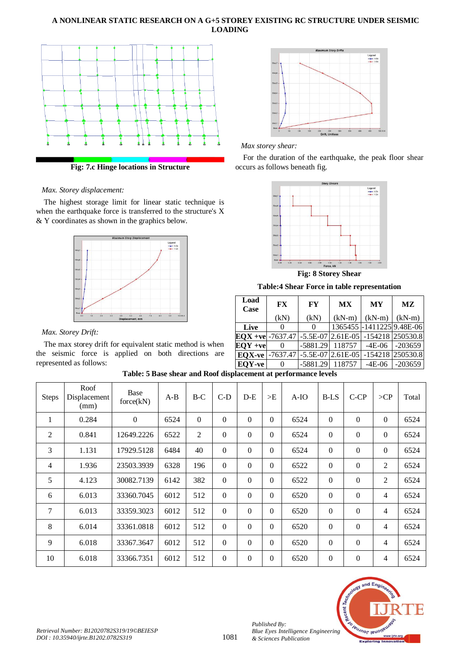#### **A NONLINEAR STATIC RESEARCH ON A G+5 STOREY EXISTING RC STRUCTURE UNDER SEISMIC LOADING**



**Fig: 7.c Hinge locations in Structure**

#### *Max. Storey displacement:*

The highest storage limit for linear static technique is when the earthquake force is transferred to the structure's X & Y coordinates as shown in the graphics below.



#### *Max. Storey Drift:*

The max storey drift for equivalent static method is when the seismic force is applied on both directions are represented as follows:



# *Max storey shear:*

For the duration of the earthquake, the peak floor shear occurs as follows beneath fig.



**Fig: 8 Storey Shear**

**Table:4 Shear Force in table representation**

| Load<br>Case  | <b>FX</b> | <b>FY</b>                    | <b>MX</b> | <b>MY</b>                                                      | MZ        |  |  |
|---------------|-----------|------------------------------|-----------|----------------------------------------------------------------|-----------|--|--|
|               | (kN)      | (kN)                         | $(kN-m)$  | $(kN-m)$                                                       | $(kN-m)$  |  |  |
| Live          |           | 0                            |           | 1365455 - 1411225 9.48E-06                                     |           |  |  |
|               |           |                              |           | $EQX + ve$ -7637.47   -5.5E-07   2.61E-05   -154218   250530.8 |           |  |  |
| $EOY + ve$    | $\theta$  | $-5881.29$                   |           | $118757$ -4E-06                                                | $-203659$ |  |  |
| <b>EQX-ve</b> |           | $-7637.47$ -5.5E-07 2.61E-05 |           | $-154218$                                                      | 250530.8  |  |  |
| EQY-ve        | 0         | $-5881.29$                   | 118757    | $-4E-06$                                                       | $-203659$ |  |  |

| Table: 5 Base shear and Roof displacement at performance levels |  |
|-----------------------------------------------------------------|--|
|-----------------------------------------------------------------|--|

| <b>Steps</b>   | Roof<br>Displacement<br>(mm) | Base<br>force(kN) | $A-B$ | $B-C$          | $C-D$            | $D-E$          | >E               | $A-IO$ | <b>B-LS</b>  | $C-CP$           | >CP      | Total |
|----------------|------------------------------|-------------------|-------|----------------|------------------|----------------|------------------|--------|--------------|------------------|----------|-------|
| 1              | 0.284                        | $\boldsymbol{0}$  | 6524  | $\theta$       | 0                | $\Omega$       | $\theta$         | 6524   | $\Omega$     | $\mathbf{0}$     | $\Omega$ | 6524  |
| 2              | 0.841                        | 12649.2226        | 6522  | $\overline{2}$ | $\overline{0}$   | $\Omega$       | $\Omega$         | 6524   | $\theta$     | $\overline{0}$   | $\Omega$ | 6524  |
| 3              | 1.131                        | 17929.5128        | 6484  | 40             | $\overline{0}$   | $\overline{0}$ | $\overline{0}$   | 6524   | $\theta$     | $\boldsymbol{0}$ | $\Omega$ | 6524  |
| $\overline{4}$ | 1.936                        | 23503.3939        | 6328  | 196            | $\overline{0}$   | $\Omega$       | $\theta$         | 6522   | $\mathbf{0}$ | $\overline{0}$   | 2        | 6524  |
| 5              | 4.123                        | 30082.7139        | 6142  | 382            | $\overline{0}$   | $\Omega$       | $\theta$         | 6522   | $\Omega$     | $\mathbf{0}$     | 2        | 6524  |
| 6              | 6.013                        | 33360.7045        | 6012  | 512            | $\overline{0}$   | $\Omega$       | $\Omega$         | 6520   | $\mathbf{0}$ | $\mathbf{0}$     | 4        | 6524  |
| 7              | 6.013                        | 33359.3023        | 6012  | 512            | $\boldsymbol{0}$ | $\Omega$       | $\boldsymbol{0}$ | 6520   | $\mathbf{0}$ | $\mathbf{0}$     | 4        | 6524  |
| 8              | 6.014                        | 33361.0818        | 6012  | 512            | $\overline{0}$   | $\Omega$       | $\boldsymbol{0}$ | 6520   | $\theta$     | $\overline{0}$   | 4        | 6524  |
| 9              | 6.018                        | 33367.3647        | 6012  | 512            | $\overline{0}$   | $\Omega$       | $\Omega$         | 6520   | $\mathbf{0}$ | $\boldsymbol{0}$ | 4        | 6524  |
| 10             | 6.018                        | 33366.7351        | 6012  | 512            | $\boldsymbol{0}$ | 0              | $\overline{0}$   | 6520   | $\Omega$     | $\mathbf{0}$     | 4        | 6524  |



*Published By:*

*& Sciences Publication*